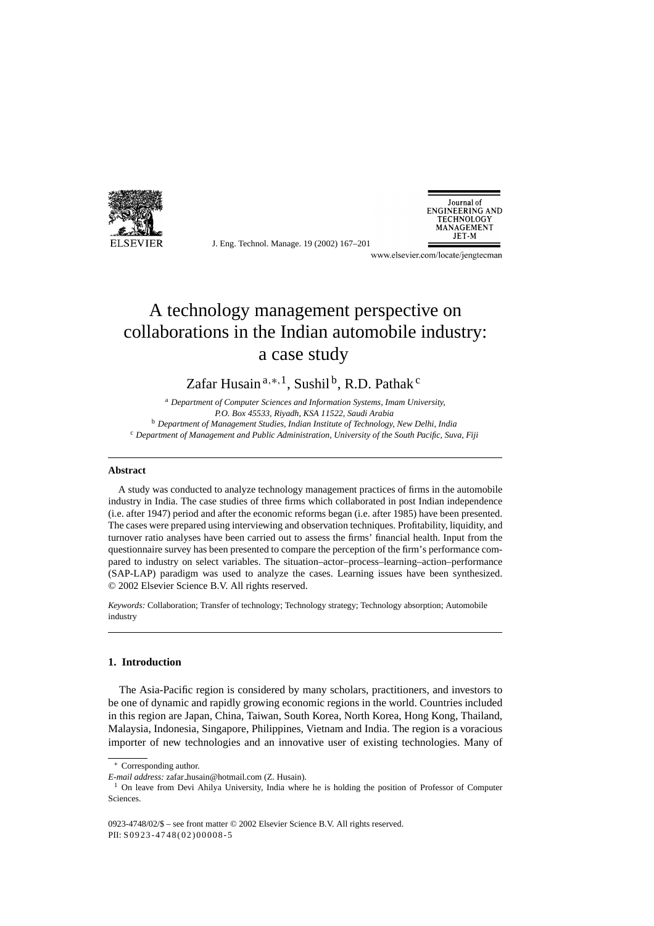

J. Eng. Technol. Manage. 19 (2002) 167–201



www.elsevier.com/locate/jengtecman

# A technology management perspective on collaborations in the Indian automobile industry: a case study

### Zafar Husain<sup>a,\*,1</sup>, Sushil<sup>b</sup>, R.D. Pathak<sup>c</sup>

<sup>a</sup> *Department of Computer Sciences and Information Systems, Imam University, P.O. Box 45533, Riyadh, KSA 11522, Saudi Arabia* <sup>b</sup> *Department of Management Studies, Indian Institute of Technology, New Delhi, India* <sup>c</sup> *Department of Management and Public Administration, University of the South Pacific, Suva, Fiji*

#### **Abstract**

A study was conducted to analyze technology management practices of firms in the automobile industry in India. The case studies of three firms which collaborated in post Indian independence (i.e. after 1947) period and after the economic reforms began (i.e. after 1985) have been presented. The cases were prepared using interviewing and observation techniques. Profitability, liquidity, and turnover ratio analyses have been carried out to assess the firms' financial health. Input from the questionnaire survey has been presented to compare the perception of the firm's performance compared to industry on select variables. The situation–actor–process–learning–action–performance (SAP-LAP) paradigm was used to analyze the cases. Learning issues have been synthesized. © 2002 Elsevier Science B.V. All rights reserved.

*Keywords:* Collaboration; Transfer of technology; Technology strategy; Technology absorption; Automobile industry

### **1. Introduction**

The Asia-Pacific region is considered by many scholars, practitioners, and investors to be one of dynamic and rapidly growing economic regions in the world. Countries included in this region are Japan, China, Taiwan, South Korea, North Korea, Hong Kong, Thailand, Malaysia, Indonesia, Singapore, Philippines, Vietnam and India. The region is a voracious importer of new technologies and an innovative user of existing technologies. Many of

<sup>∗</sup> Corresponding author.

*E-mail address:* zafar husain@hotmail.com (Z. Husain).

<sup>&</sup>lt;sup>1</sup> On leave from Devi Ahilya University, India where he is holding the position of Professor of Computer Sciences.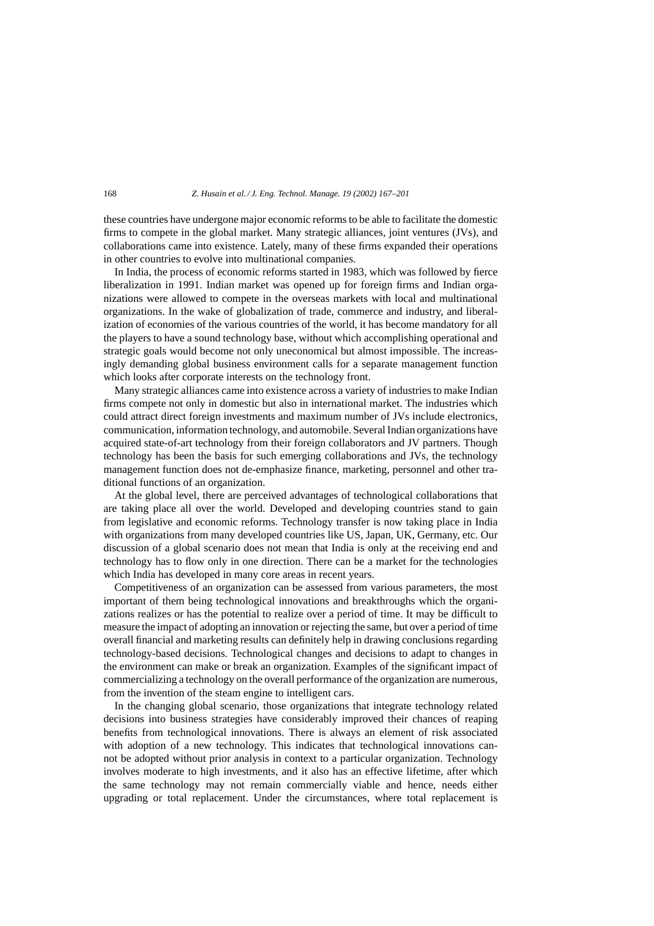these countries have undergone major economic reforms to be able to facilitate the domestic firms to compete in the global market. Many strategic alliances, joint ventures (JVs), and collaborations came into existence. Lately, many of these firms expanded their operations in other countries to evolve into multinational companies.

In India, the process of economic reforms started in 1983, which was followed by fierce liberalization in 1991. Indian market was opened up for foreign firms and Indian organizations were allowed to compete in the overseas markets with local and multinational organizations. In the wake of globalization of trade, commerce and industry, and liberalization of economies of the various countries of the world, it has become mandatory for all the players to have a sound technology base, without which accomplishing operational and strategic goals would become not only uneconomical but almost impossible. The increasingly demanding global business environment calls for a separate management function which looks after corporate interests on the technology front.

Many strategic alliances came into existence across a variety of industries to make Indian firms compete not only in domestic but also in international market. The industries which could attract direct foreign investments and maximum number of JVs include electronics, communication, information technology, and automobile. Several Indian organizations have acquired state-of-art technology from their foreign collaborators and JV partners. Though technology has been the basis for such emerging collaborations and JVs, the technology management function does not de-emphasize finance, marketing, personnel and other traditional functions of an organization.

At the global level, there are perceived advantages of technological collaborations that are taking place all over the world. Developed and developing countries stand to gain from legislative and economic reforms. Technology transfer is now taking place in India with organizations from many developed countries like US, Japan, UK, Germany, etc. Our discussion of a global scenario does not mean that India is only at the receiving end and technology has to flow only in one direction. There can be a market for the technologies which India has developed in many core areas in recent years.

Competitiveness of an organization can be assessed from various parameters, the most important of them being technological innovations and breakthroughs which the organizations realizes or has the potential to realize over a period of time. It may be difficult to measure the impact of adopting an innovation or rejecting the same, but over a period of time overall financial and marketing results can definitely help in drawing conclusions regarding technology-based decisions. Technological changes and decisions to adapt to changes in the environment can make or break an organization. Examples of the significant impact of commercializing a technology on the overall performance of the organization are numerous, from the invention of the steam engine to intelligent cars.

In the changing global scenario, those organizations that integrate technology related decisions into business strategies have considerably improved their chances of reaping benefits from technological innovations. There is always an element of risk associated with adoption of a new technology. This indicates that technological innovations cannot be adopted without prior analysis in context to a particular organization. Technology involves moderate to high investments, and it also has an effective lifetime, after which the same technology may not remain commercially viable and hence, needs either upgrading or total replacement. Under the circumstances, where total replacement is